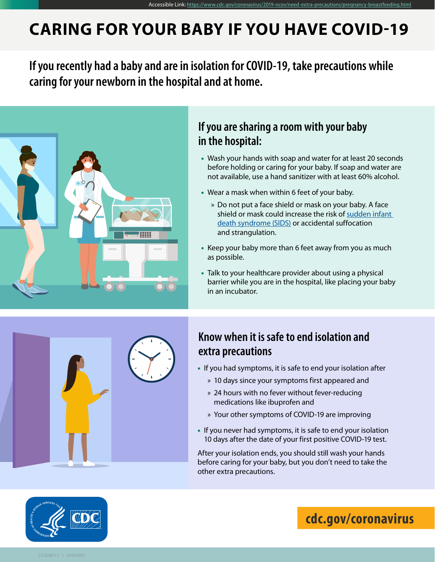**If you recently had a baby and are in isolation for COVID-19, take precautions while caring for your newborn in the hospital and at home.** 





Accessible Link: <https://www.cdc.gov/coronavirus/2019-ncov/need-extra-precautions/pregnancy-breastfeeding.html>

- Wash your hands with soap and water for at least 20 seconds before holding or caring for your baby. If soap and water are not available, use a hand sanitizer with at least 60% alcohol.
- Wear a mask when within 6 feet of your baby.
	- » Do not put a face shield or mask on your baby. A face shield or mask could increase the risk of [sudden infant](https://www.cdc.gov/sids/Parents-Caregivers.htm)  [death syndrome \(SIDS\)](https://www.cdc.gov/sids/Parents-Caregivers.htm) or accidental suffocation and strangulation.
- Keep your baby more than 6 feet away from you as much as possible.
- Talk to your healthcare provider about using a physical barrier while you are in the hospital, like placing your baby in an incubator.



## **Know when it is safe to end isolation and extra precautions**

- If you had symptoms, it is safe to end your isolation after
	- » 10 days since your symptoms first appeared and
	- » 24 hours with no fever without fever-reducing medications like ibuprofen and
	- » Your other symptoms of COVID-19 are improving
- If you never had symptoms, it is safe to end your isolation 10 days after the date of your first positive COVID-19 test.

After your isolation ends, you should still wash your hands before caring for your baby, but you don't need to take the other extra precautions.



## **[cdc.gov/coronavirus](http://cdc.gov/coronavirus)**